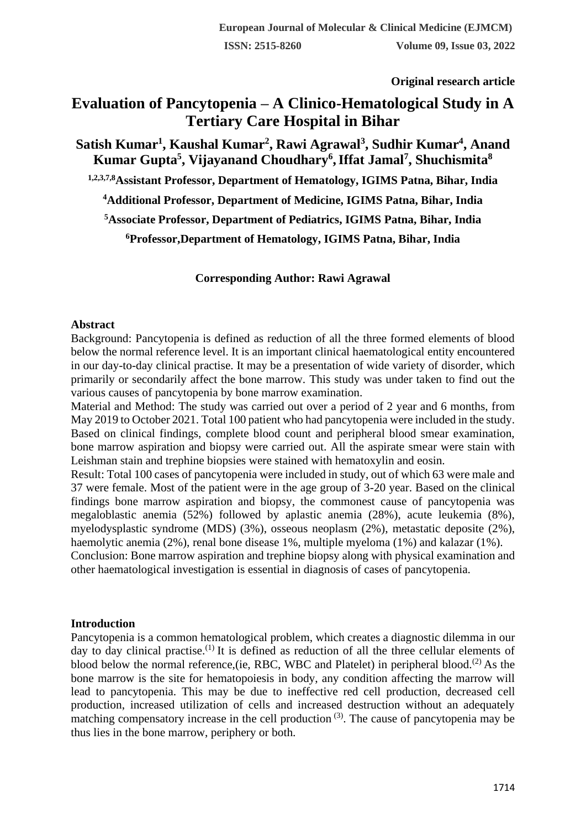**Original research article** 

# **Evaluation of Pancytopenia – A Clinico-Hematological Study in A Tertiary Care Hospital in Bihar**

**Satish Kumar<sup>1</sup> , Kaushal Kumar<sup>2</sup> , Rawi Agrawal<sup>3</sup> , Sudhir Kumar<sup>4</sup> , Anand Kumar Gupta<sup>5</sup> , Vijayanand Choudhary<sup>6</sup> ,Iffat Jamal<sup>7</sup> , Shuchismita<sup>8</sup>**

**1,2,3,7,8Assistant Professor, Department of Hematology, IGIMS Patna, Bihar, India**

**<sup>4</sup>Additional Professor, Department of Medicine, IGIMS Patna, Bihar, India**

**<sup>5</sup>Associate Professor, Department of Pediatrics, IGIMS Patna, Bihar, India**

**<sup>6</sup>Professor,Department of Hematology, IGIMS Patna, Bihar, India**

**Corresponding Author: Rawi Agrawal**

#### **Abstract**

Background: Pancytopenia is defined as reduction of all the three formed elements of blood below the normal reference level. It is an important clinical haematological entity encountered in our day-to-day clinical practise. It may be a presentation of wide variety of disorder, which primarily or secondarily affect the bone marrow. This study was under taken to find out the various causes of pancytopenia by bone marrow examination.

Material and Method: The study was carried out over a period of 2 year and 6 months, from May 2019 to October 2021. Total 100 patient who had pancytopenia were included in the study. Based on clinical findings, complete blood count and peripheral blood smear examination, bone marrow aspiration and biopsy were carried out. All the aspirate smear were stain with Leishman stain and trephine biopsies were stained with hematoxylin and eosin.

Result: Total 100 cases of pancytopenia were included in study, out of which 63 were male and 37 were female. Most of the patient were in the age group of 3-20 year. Based on the clinical findings bone marrow aspiration and biopsy, the commonest cause of pancytopenia was megaloblastic anemia (52%) followed by aplastic anemia (28%), acute leukemia (8%), myelodysplastic syndrome (MDS) (3%), osseous neoplasm (2%), metastatic deposite (2%), haemolytic anemia (2%), renal bone disease 1%, multiple myeloma (1%) and kalazar (1%).

Conclusion: Bone marrow aspiration and trephine biopsy along with physical examination and other haematological investigation is essential in diagnosis of cases of pancytopenia.

#### **Introduction**

Pancytopenia is a common hematological problem, which creates a diagnostic dilemma in our day to day clinical practise.<sup>(1)</sup> It is defined as reduction of all the three cellular elements of blood below the normal reference, (ie, RBC, WBC and Platelet) in peripheral blood.<sup>(2)</sup> As the bone marrow is the site for hematopoiesis in body, any condition affecting the marrow will lead to pancytopenia. This may be due to ineffective red cell production, decreased cell production, increased utilization of cells and increased destruction without an adequately matching compensatory increase in the cell production  $(3)$ . The cause of pancytopenia may be thus lies in the bone marrow, periphery or both.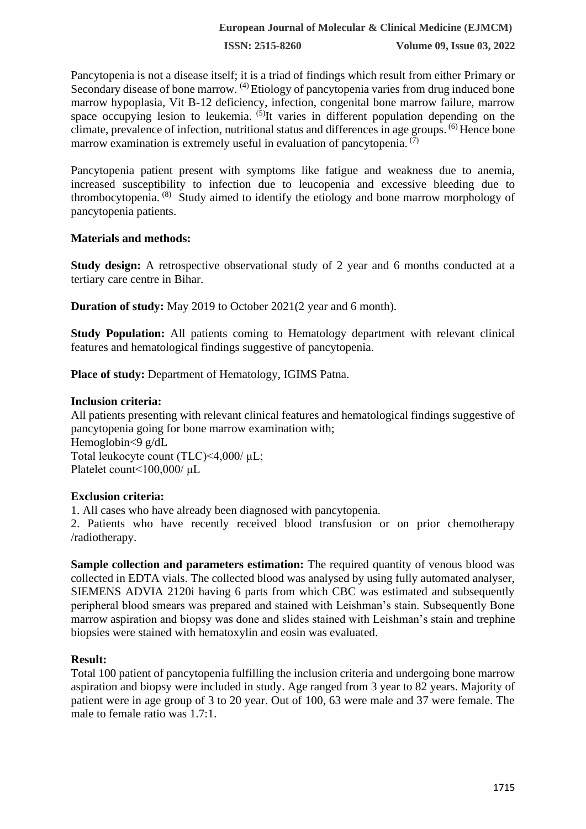**ISSN: 2515-8260 Volume 09, Issue 03, 2022**

Pancytopenia is not a disease itself; it is a triad of findings which result from either Primary or Secondary disease of bone marrow. <sup>(4)</sup> Etiology of pancytopenia varies from drug induced bone marrow hypoplasia, Vit B-12 deficiency, infection, congenital bone marrow failure, marrow space occupying lesion to leukemia.  $(5)$ It varies in different population depending on the climate, prevalence of infection, nutritional status and differences in age groups. (6) Hence bone marrow examination is extremely useful in evaluation of pancytopenia.  $(7)$ 

Pancytopenia patient present with symptoms like fatigue and weakness due to anemia, increased susceptibility to infection due to leucopenia and excessive bleeding due to thrombocytopenia.<sup>(8)</sup> Study aimed to identify the etiology and bone marrow morphology of pancytopenia patients.

### **Materials and methods:**

**Study design:** A retrospective observational study of 2 year and 6 months conducted at a tertiary care centre in Bihar.

**Duration of study:** May 2019 to October 2021(2 year and 6 month).

**Study Population:** All patients coming to Hematology department with relevant clinical features and hematological findings suggestive of pancytopenia.

**Place of study:** Department of Hematology, IGIMS Patna.

### **Inclusion criteria:**

All patients presenting with relevant clinical features and hematological findings suggestive of pancytopenia going for bone marrow examination with; Hemoglobin<9 g/dL Total leukocyte count (TLC)<4,000/ μL; Platelet count<100,000/ μL

## **Exclusion criteria:**

1. All cases who have already been diagnosed with pancytopenia.

2. Patients who have recently received blood transfusion or on prior chemotherapy /radiotherapy.

**Sample collection and parameters estimation:** The required quantity of venous blood was collected in EDTA vials. The collected blood was analysed by using fully automated analyser, SIEMENS ADVIA 2120i having 6 parts from which CBC was estimated and subsequently peripheral blood smears was prepared and stained with Leishman's stain. Subsequently Bone marrow aspiration and biopsy was done and slides stained with Leishman's stain and trephine biopsies were stained with hematoxylin and eosin was evaluated.

#### **Result:**

Total 100 patient of pancytopenia fulfilling the inclusion criteria and undergoing bone marrow aspiration and biopsy were included in study. Age ranged from 3 year to 82 years. Majority of patient were in age group of 3 to 20 year. Out of 100, 63 were male and 37 were female. The male to female ratio was 1.7:1.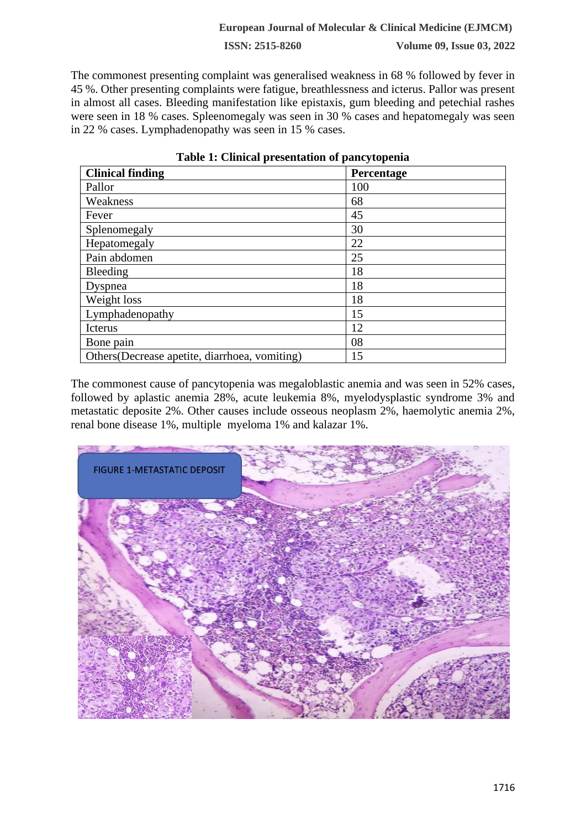#### **European Journal of Molecular & Clinical Medicine (EJMCM)**

**ISSN: 2515-8260 Volume 09, Issue 03, 2022**

The commonest presenting complaint was generalised weakness in 68 % followed by fever in 45 %. Other presenting complaints were fatigue, breathlessness and icterus. Pallor was present in almost all cases. Bleeding manifestation like epistaxis, gum bleeding and petechial rashes were seen in 18 % cases. Spleenomegaly was seen in 30 % cases and hepatomegaly was seen in 22 % cases. Lymphadenopathy was seen in 15 % cases.

| <b>Clinical finding</b>                        | Percentage |
|------------------------------------------------|------------|
| Pallor                                         | 100        |
| Weakness                                       | 68         |
| Fever                                          | 45         |
| Splenomegaly                                   | 30         |
| Hepatomegaly                                   | 22         |
| Pain abdomen                                   | 25         |
| Bleeding                                       | 18         |
| Dyspnea                                        | 18         |
| Weight loss                                    | 18         |
| Lymphadenopathy                                | 15         |
| Icterus                                        | 12         |
| Bone pain                                      | 08         |
| Others (Decrease apetite, diarrhoea, vomiting) | 15         |

|  |  |  |  |  | Table 1: Clinical presentation of pancytopenia |
|--|--|--|--|--|------------------------------------------------|
|--|--|--|--|--|------------------------------------------------|

The commonest cause of pancytopenia was megaloblastic anemia and was seen in 52% cases, followed by aplastic anemia 28%, acute leukemia 8%, myelodysplastic syndrome 3% and metastatic deposite 2%. Other causes include osseous neoplasm 2%, haemolytic anemia 2%, renal bone disease 1%, multiple myeloma 1% and kalazar 1%.

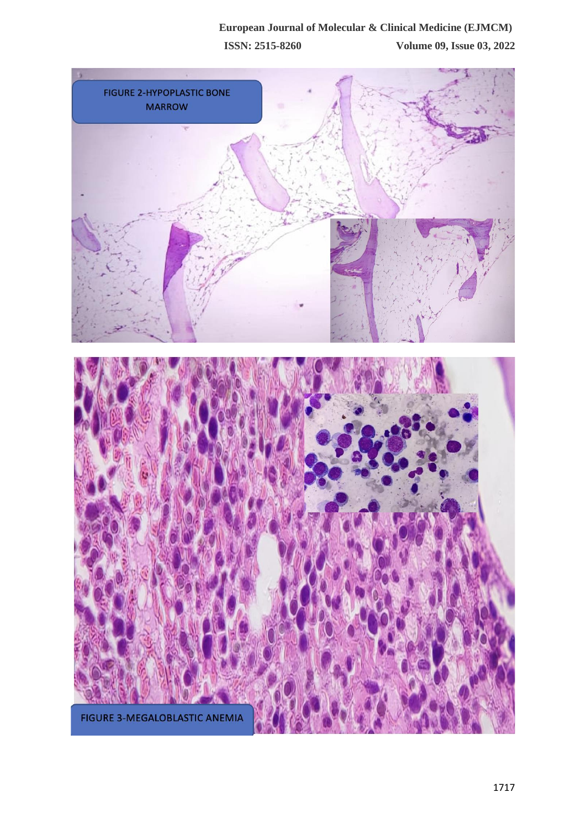## **European Journal of Molecular & Clinical Medicine (EJMCM) ISSN: 2515-8260 Volume 09, Issue 03, 2022**

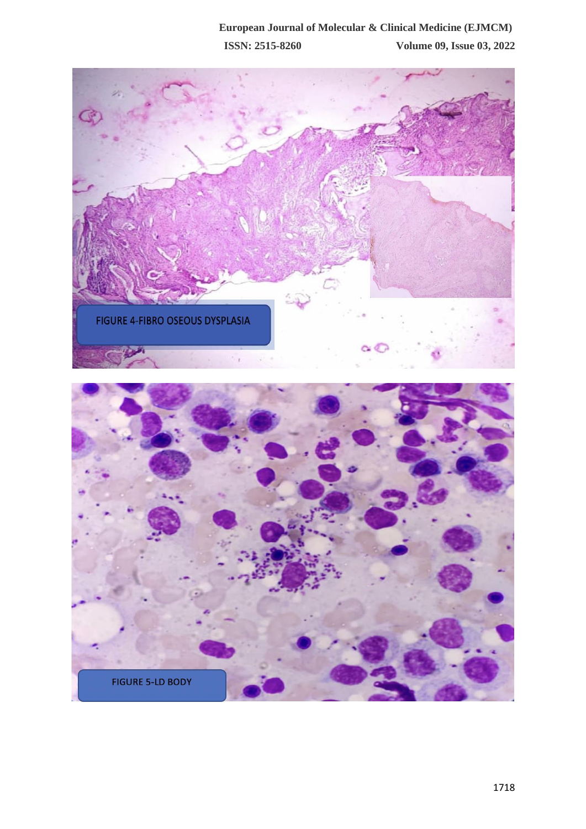## **European Journal of Molecular & Clinical Medicine (EJMCM) ISSN: 2515-8260 Volume 09, Issue 03, 2022**

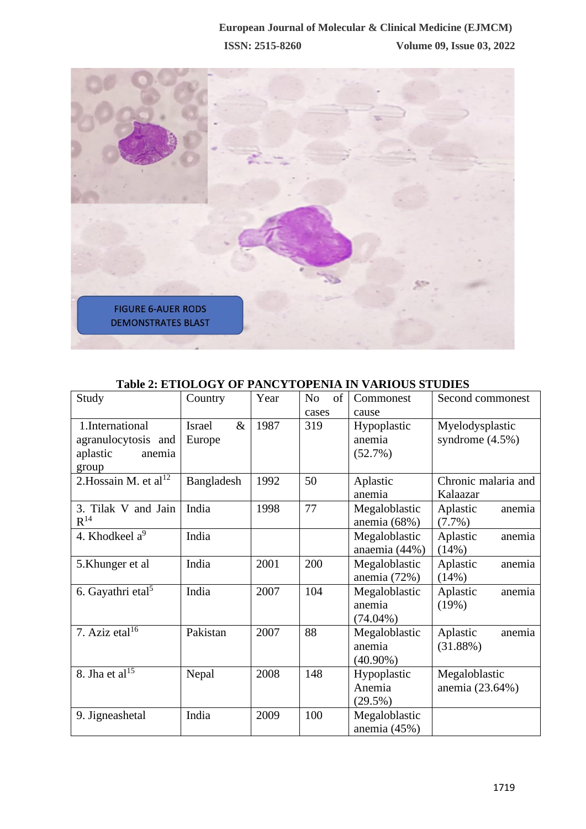

| <b>Table 2: ETIOLOGY OF PANCYTOPENIA IN VARIOUS STUDIES</b> |  |
|-------------------------------------------------------------|--|
|-------------------------------------------------------------|--|

| Study                             | Country               | Year | of<br>No | Commonest      | Second commonest    |
|-----------------------------------|-----------------------|------|----------|----------------|---------------------|
|                                   |                       |      | cases    | cause          |                     |
| 1.International                   | <b>Israel</b><br>$\&$ | 1987 | 319      | Hypoplastic    | Myelodysplastic     |
| agranulocytosis and               | Europe                |      |          | anemia         | syndrome $(4.5\%)$  |
| aplastic<br>anemia                |                       |      |          | (52.7%)        |                     |
| group                             |                       |      |          |                |                     |
| 2. Hossain M. et al <sup>12</sup> | Bangladesh            | 1992 | 50       | Aplastic       | Chronic malaria and |
|                                   |                       |      |          | anemia         | Kalaazar            |
| 3. Tilak V and Jain               | India                 | 1998 | 77       | Megaloblastic  | Aplastic<br>anemia  |
| $R^{14}$                          |                       |      |          | anemia $(68%)$ | $(7.7\%)$           |
| 4. Khodkeel $a^9$                 | India                 |      |          | Megaloblastic  | Aplastic<br>anemia  |
|                                   |                       |      |          | anaemia (44%)  | (14%)               |
| 5. Khunger et al                  | India                 | 2001 | 200      | Megaloblastic  | Aplastic<br>anemia  |
|                                   |                       |      |          | anemia $(72%)$ | (14%)               |
| 6. Gayathri etal <sup>5</sup>     | India                 | 2007 | 104      | Megaloblastic  | Aplastic<br>anemia  |
|                                   |                       |      |          | anemia         | (19%)               |
|                                   |                       |      |          | $(74.04\%)$    |                     |
| 7. Aziz etal $16$                 | Pakistan              | 2007 | 88       | Megaloblastic  | Aplastic<br>anemia  |
|                                   |                       |      |          | anemia         | (31.88%)            |
|                                   |                       |      |          | $(40.90\%)$    |                     |
| 8. Jha et al $15$                 | Nepal                 | 2008 | 148      | Hypoplastic    | Megaloblastic       |
|                                   |                       |      |          | Anemia         | anemia (23.64%)     |
|                                   |                       |      |          | (29.5%)        |                     |
| 9. Jigneashetal                   | India                 | 2009 | 100      | Megaloblastic  |                     |
|                                   |                       |      |          | anemia (45%)   |                     |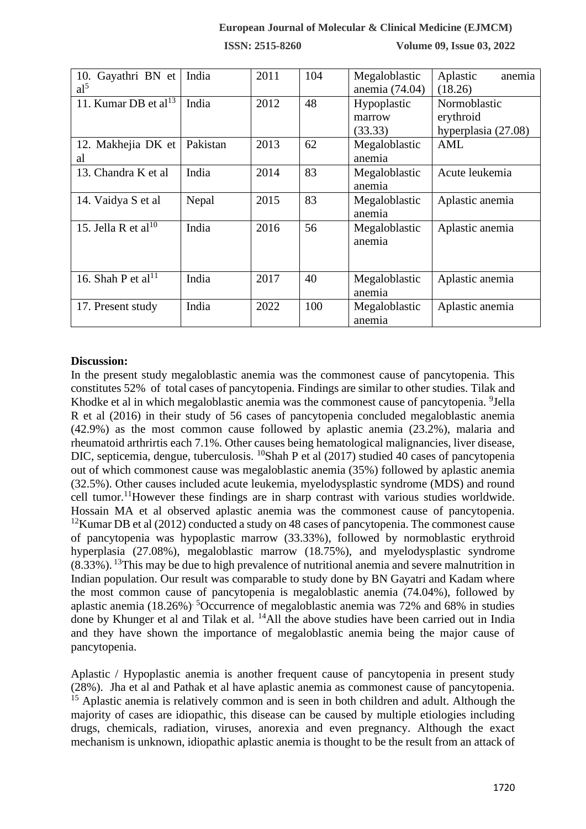### **European Journal of Molecular & Clinical Medicine (EJMCM)**

**ISSN: 2515-8260 Volume 09, Issue 03, 2022**

| Gayathri BN et<br>10.<br>al <sup>5</sup> | India    | 2011 | 104 | Megaloblastic<br>anemia (74.04)  | Aplastic<br>anemia<br>(18.26)                    |
|------------------------------------------|----------|------|-----|----------------------------------|--------------------------------------------------|
| 11. Kumar DB et al <sup>13</sup>         | India    | 2012 | 48  | Hypoplastic<br>marrow<br>(33.33) | Normoblastic<br>erythroid<br>hyperplasia (27.08) |
| 12. Makhejia DK et<br>al                 | Pakistan | 2013 | 62  | Megaloblastic<br>anemia          | <b>AML</b>                                       |
| 13. Chandra K et al                      | India    | 2014 | 83  | Megaloblastic<br>anemia          | Acute leukemia                                   |
| 14. Vaidya S et al                       | Nepal    | 2015 | 83  | Megaloblastic<br>anemia          | Aplastic anemia                                  |
| 15. Jella R et al <sup>10</sup>          | India    | 2016 | 56  | Megaloblastic<br>anemia          | Aplastic anemia                                  |
| 16. Shah P et al <sup>11</sup>           | India    | 2017 | 40  | Megaloblastic<br>anemia          | Aplastic anemia                                  |
| 17. Present study                        | India    | 2022 | 100 | Megaloblastic<br>anemia          | Aplastic anemia                                  |

#### **Discussion:**

In the present study megaloblastic anemia was the commonest cause of pancytopenia. This constitutes 52% of total cases of pancytopenia. Findings are similar to other studies. Tilak and Khodke et al in which megaloblastic anemia was the commonest cause of pancytopenia. <sup>9</sup>Jella R et al (2016) in their study of 56 cases of pancytopenia concluded megaloblastic anemia (42.9%) as the most common cause followed by aplastic anemia (23.2%), malaria and rheumatoid arthrirtis each 7.1%. Other causes being hematological malignancies, liver disease, DIC, septicemia, dengue, tuberculosis. <sup>10</sup>Shah P et al (2017) studied 40 cases of pancytopenia out of which commonest cause was megaloblastic anemia (35%) followed by aplastic anemia (32.5%). Other causes included acute leukemia, myelodysplastic syndrome (MDS) and round cell tumor.<sup>11</sup>However these findings are in sharp contrast with various studies worldwide. Hossain MA et al observed aplastic anemia was the commonest cause of pancytopenia.  $12$ Kumar DB et al (2012) conducted a study on 48 cases of pancytopenia. The commonest cause of pancytopenia was hypoplastic marrow (33.33%), followed by normoblastic erythroid hyperplasia (27.08%), megaloblastic marrow (18.75%), and myelodysplastic syndrome (8.33%). <sup>13</sup>This may be due to high prevalence of nutritional anemia and severe malnutrition in Indian population. Our result was comparable to study done by BN Gayatri and Kadam where the most common cause of pancytopenia is megaloblastic anemia (74.04%), followed by aplastic anemia (18.26%)<sup>. 5</sup>Occurrence of megaloblastic anemia was 72% and 68% in studies done by Khunger et al and Tilak et al. <sup>14</sup>All the above studies have been carried out in India and they have shown the importance of megaloblastic anemia being the major cause of pancytopenia.

Aplastic / Hypoplastic anemia is another frequent cause of pancytopenia in present study (28%). Jha et al and Pathak et al have aplastic anemia as commonest cause of pancytopenia. <sup>15</sup> Aplastic anemia is relatively common and is seen in both children and adult. Although the majority of cases are idiopathic, this disease can be caused by multiple etiologies including drugs, chemicals, radiation, viruses, anorexia and even pregnancy. Although the exact mechanism is unknown, idiopathic aplastic anemia is thought to be the result from an attack of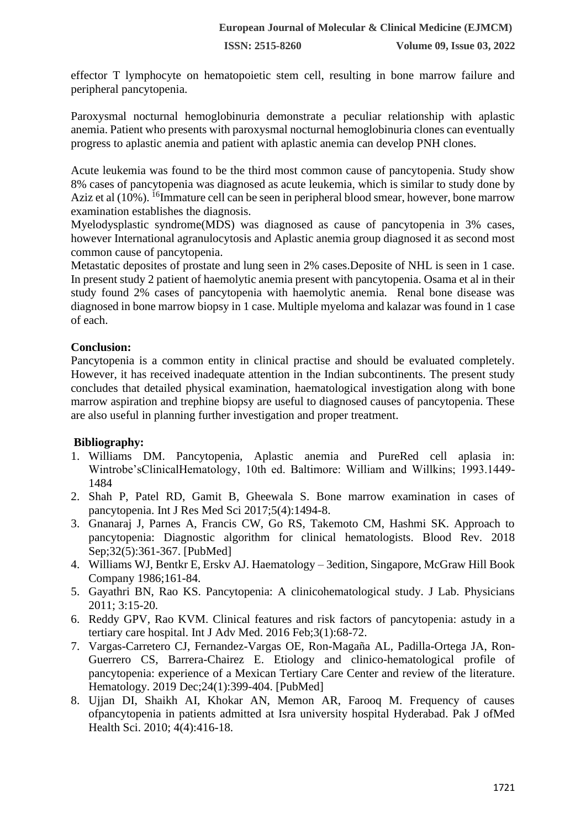effector T lymphocyte on hematopoietic stem cell, resulting in bone marrow failure and peripheral pancytopenia.

Paroxysmal nocturnal hemoglobinuria demonstrate a peculiar relationship with aplastic anemia. Patient who presents with paroxysmal nocturnal hemoglobinuria clones can eventually progress to aplastic anemia and patient with aplastic anemia can develop PNH clones.

Acute leukemia was found to be the third most common cause of pancytopenia. Study show 8% cases of pancytopenia was diagnosed as acute leukemia, which is similar to study done by Aziz et al  $(10\%)$ . <sup>16</sup>Immature cell can be seen in peripheral blood smear, however, bone marrow examination establishes the diagnosis.

Myelodysplastic syndrome(MDS) was diagnosed as cause of pancytopenia in 3% cases, however International agranulocytosis and Aplastic anemia group diagnosed it as second most common cause of pancytopenia.

Metastatic deposites of prostate and lung seen in 2% cases.Deposite of NHL is seen in 1 case. In present study 2 patient of haemolytic anemia present with pancytopenia. Osama et al in their study found 2% cases of pancytopenia with haemolytic anemia. Renal bone disease was diagnosed in bone marrow biopsy in 1 case. Multiple myeloma and kalazar was found in 1 case of each.

## **Conclusion:**

Pancytopenia is a common entity in clinical practise and should be evaluated completely. However, it has received inadequate attention in the Indian subcontinents. The present study concludes that detailed physical examination, haematological investigation along with bone marrow aspiration and trephine biopsy are useful to diagnosed causes of pancytopenia. These are also useful in planning further investigation and proper treatment.

## **Bibliography:**

- 1. Williams DM. Pancytopenia, Aplastic anemia and PureRed cell aplasia in: Wintrobe'sClinicalHematology, 10th ed. Baltimore: William and Willkins; 1993.1449- 1484
- 2. Shah P, Patel RD, Gamit B, Gheewala S. Bone marrow examination in cases of pancytopenia. Int J Res Med Sci 2017;5(4):1494-8.
- 3. Gnanaraj J, Parnes A, Francis CW, Go RS, Takemoto CM, Hashmi SK. Approach to pancytopenia: Diagnostic algorithm for clinical hematologists. Blood Rev. 2018 Sep;32(5):361-367. [PubMed]
- 4. Williams WJ, Bentkr E, Erskv AJ. Haematology 3edition, Singapore, McGraw Hill Book Company 1986;161-84.
- 5. Gayathri BN, Rao KS. Pancytopenia: A clinicohematological study. J Lab. Physicians 2011; 3:15-20.
- 6. Reddy GPV, Rao KVM. Clinical features and risk factors of pancytopenia: astudy in a tertiary care hospital. Int J Adv Med. 2016 Feb;3(1):68-72.
- 7. Vargas-Carretero CJ, Fernandez-Vargas OE, Ron-Magaña AL, Padilla-Ortega JA, Ron-Guerrero CS, Barrera-Chairez E. Etiology and clinico-hematological profile of pancytopenia: experience of a Mexican Tertiary Care Center and review of the literature. Hematology. 2019 Dec;24(1):399-404. [PubMed]
- 8. Ujjan DI, Shaikh AI, Khokar AN, Memon AR, Farooq M. Frequency of causes ofpancytopenia in patients admitted at Isra university hospital Hyderabad. Pak J ofMed Health Sci. 2010; 4(4):416-18.